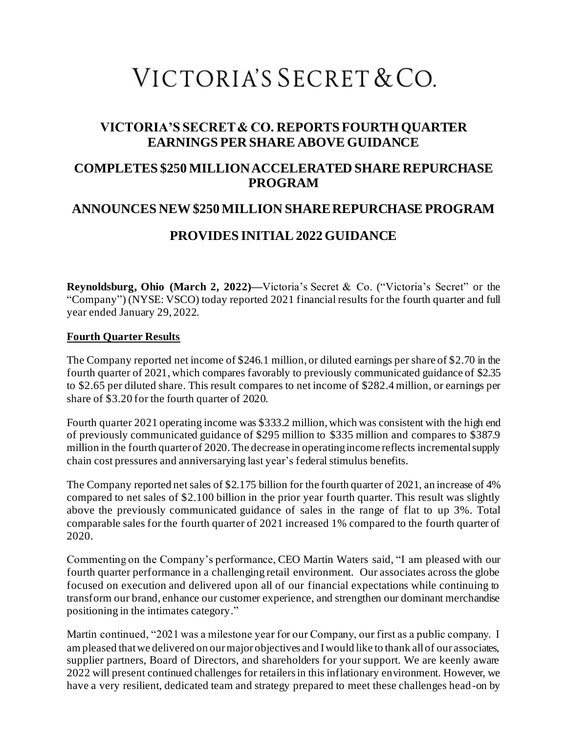# VICTORIA'S SECRET & CO.

# **VICTORIA'S SECRET & CO. REPORTS FOURTH QUARTER EARNINGS PER SHARE ABOVE GUIDANCE**

# **COMPLETES \$250 MILLION ACCELERATED SHARE REPURCHASE PROGRAM**

# **ANNOUNCES NEW \$250 MILLION SHARE REPURCHASE PROGRAM**

# **PROVIDES INITIAL 2022 GUIDANCE**

**Reynoldsburg, Ohio (March 2, 2022)—**Victoria's Secret & Co. ("Victoria's Secret" or the "Company") (NYSE: VSCO) today reported 2021 financial results for the fourth quarter and full year ended January 29, 2022.

### **Fourth Quarter Results**

The Company reported net income of \$246.1 million, or diluted earnings per share of \$2.70 in the fourth quarter of 2021, which compares favorably to previously communicated guidance of \$2.35 to \$2.65 per diluted share. This result compares to net income of \$282.4 million, or earnings per share of \$3.20 for the fourth quarter of 2020.

Fourth quarter 2021 operating income was \$333.2 million, which was consistent with the high end of previously communicated guidance of \$295 million to \$335 million and compares to \$387.9 million in the fourth quarter of 2020. The decrease in operating income reflects incremental supply chain cost pressures and anniversarying last year's federal stimulus benefits.

The Company reported net sales of \$2.175 billion for the fourth quarter of 2021, an increase of 4% compared to net sales of \$2.100 billion in the prior year fourth quarter. This result was slightly above the previously communicated guidance of sales in the range of flat to up 3%. Total comparable sales for the fourth quarter of 2021 increased 1% compared to the fourth quarter of 2020.

Commenting on the Company's performance, CEO Martin Waters said, "I am pleased with our fourth quarter performance in a challenging retail environment. Our associates across the globe focused on execution and delivered upon all of our financial expectations while continuing to transform our brand, enhance our customer experience, and strengthen our dominant merchandise positioning in the intimates category."

Martin continued, "2021 was a milestone year for our Company, our first as a public company. I am pleased that we delivered on our major objectives and I would like to thank all of our associates, supplier partners, Board of Directors, and shareholders for your support. We are keenly aware 2022 will present continued challenges for retailers in this inflationary environment. However, we have a very resilient, dedicated team and strategy prepared to meet these challenges head -on by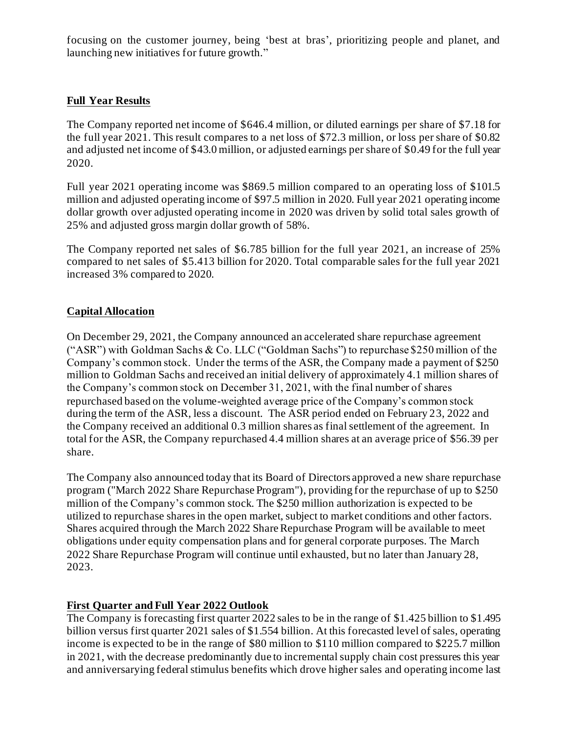focusing on the customer journey, being 'best at bras', prioritizing people and planet, and launching new initiatives for future growth."

# **Full Year Results**

The Company reported net income of \$646.4 million, or diluted earnings per share of \$7.18 for the full year 2021. This result compares to a net loss of \$72.3 million, or loss per share of \$0.82 and adjusted net income of \$43.0 million, or adjusted earnings per share of \$0.49 for the full year 2020.

Full year 2021 operating income was \$869.5 million compared to an operating loss of \$101.5 million and adjusted operating income of \$97.5 million in 2020. Full year 2021 operating income dollar growth over adjusted operating income in 2020 was driven by solid total sales growth of 25% and adjusted gross margin dollar growth of 58%.

The Company reported net sales of \$6.785 billion for the full year 2021, an increase of 25% compared to net sales of \$5.413 billion for 2020. Total comparable sales for the full year 2021 increased 3% compared to 2020.

# **Capital Allocation**

On December 29, 2021, the Company announced an accelerated share repurchase agreement ("ASR") with Goldman Sachs & Co. LLC ("Goldman Sachs") to repurchase \$250 million of the Company's common stock. Under the terms of the ASR, the Company made a payment of \$250 million to Goldman Sachs and received an initial delivery of approximately 4.1 million shares of the Company's common stock on December 31, 2021, with the final number of shares repurchased based on the volume-weighted average price of the Company's common stock during the term of the ASR, less a discount. The ASR period ended on February 23, 2022 and the Company received an additional 0.3 million shares as final settlement of the agreement. In total for the ASR, the Company repurchased 4.4 million shares at an average price of \$56.39 per share.

The Company also announced today that its Board of Directors approved a new share repurchase program ("March 2022 Share Repurchase Program"), providing for the repurchase of up to \$250 million of the Company's common stock. The \$250 million authorization is expected to be utilized to repurchase shares in the open market, subject to market conditions and other factors. Shares acquired through the March 2022 Share Repurchase Program will be available to meet obligations under equity compensation plans and for general corporate purposes. The March 2022 Share Repurchase Program will continue until exhausted, but no later than January 28, 2023.

## **First Quarter and Full Year 2022 Outlook**

The Company is forecasting first quarter 2022 sales to be in the range of \$1.425 billion to \$1.495 billion versus first quarter 2021 sales of \$1.554 billion. At this forecasted level of sales, operating income is expected to be in the range of \$80 million to \$110 million compared to \$225.7 million in 2021, with the decrease predominantly due to incremental supply chain cost pressures this year and anniversarying federal stimulus benefits which drove higher sales and operating income last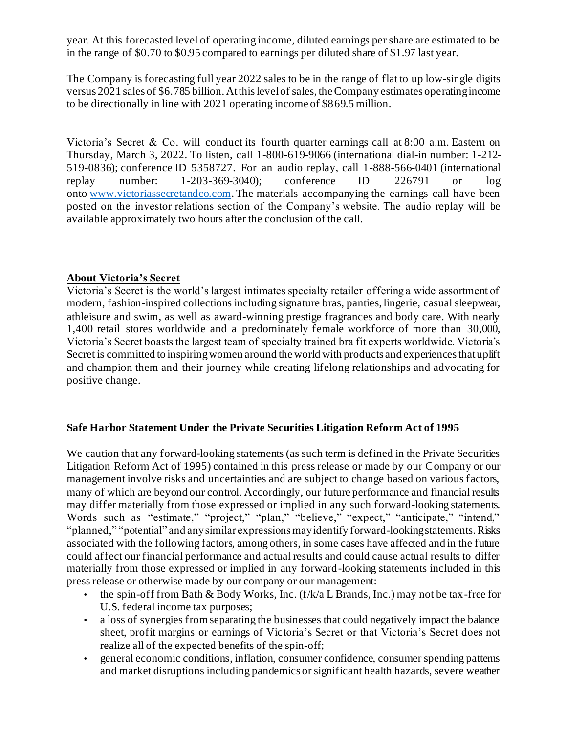year. At this forecasted level of operating income, diluted earnings per share are estimated to be in the range of \$0.70 to \$0.95 compared to earnings per diluted share of \$1.97 last year.

The Company is forecasting full year 2022 sales to be in the range of flat to up low-single digits versus 2021 sales of \$6.785 billion. At this level of sales, the Company estimates operating income to be directionally in line with 2021 operating income of \$869.5 million.

Victoria's Secret & Co. will conduct its fourth quarter earnings call at 8:00 a.m. Eastern on Thursday, March 3, 2022. To listen, call 1-800-619-9066 (international dial-in number: 1-212- 519-0836); conference ID 5358727. For an audio replay, call 1-888-566-0401 (international replay number: 1-203-369-3040); conference ID 226791 or log onto [www.victoriassecretandco.com](http://www.victoriassecretandco.com/).The materials accompanying the earnings call have been posted on the investor relations section of the Company's website. The audio replay will be available approximately two hours after the conclusion of the call.

## **About Victoria's Secret**

Victoria's Secret is the world's largest intimates specialty retailer offering a wide assortment of modern, fashion-inspired collections including signature bras, panties, lingerie, casual sleepwear, athleisure and swim, as well as award-winning prestige fragrances and body care. With nearly 1,400 retail stores worldwide and a predominately female workforce of more than 30,000, Victoria's Secret boasts the largest team of specialty trained bra fit experts worldwide. Victoria's Secret is committed to inspiring women around the world with products and experiences that uplift and champion them and their journey while creating lifelong relationships and advocating for positive change.

### **Safe Harbor Statement Under the Private Securities Litigation Reform Act of 1995**

We caution that any forward-looking statements (as such term is defined in the Private Securities Litigation Reform Act of 1995) contained in this press release or made by our Company or our management involve risks and uncertainties and are subject to change based on various factors, many of which are beyond our control. Accordingly, our future performance and financial results may differ materially from those expressed or implied in any such forward-looking statements. Words such as "estimate," "project," "plan," "believe," "expect," "anticipate," "intend," "planned," "potential" and any similar expressions may identify forward-looking statements. Risks associated with the following factors, among others, in some cases have affected and in the future could affect our financial performance and actual results and could cause actual results to differ materially from those expressed or implied in any forward-looking statements included in this press release or otherwise made by our company or our management:

- the spin-off from Bath & Body Works, Inc. (f/k/a L Brands, Inc.) may not be tax-free for U.S. federal income tax purposes;
- a loss of synergies from separating the businesses that could negatively impact the balance sheet, profit margins or earnings of Victoria's Secret or that Victoria's Secret does not realize all of the expected benefits of the spin-off;
- general economic conditions, inflation, consumer confidence, consumer spending patterns and market disruptions including pandemics or significant health hazards, severe weather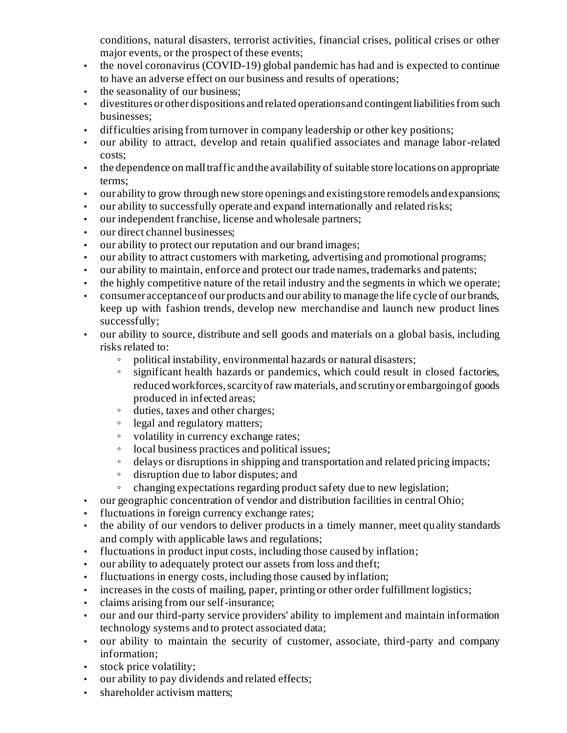conditions, natural disasters, terrorist activities, financial crises, political crises or other major events, or the prospect of these events;

- the novel coronavirus (COVID-19) global pandemic has had and is expected to continue to have an adverse effect on our business and results of operations;
- the seasonality of our business;
- divestitures or other dispositions and related operations and contingent liabilities from such businesses;
- difficulties arising from turnover in company leadership or other key positions;
- our ability to attract, develop and retain qualified associates and manage labor-related costs;
- the dependence on mall traffic and the availability of suitable store locations on appropriate terms;
- our ability to grow through new store openings and existing store remodels and expansions;
- our ability to successfully operate and expand internationally and related risks;
- our independent franchise, license and wholesale partners;
- our direct channel businesses;
- our ability to protect our reputation and our brand images;
- our ability to attract customers with marketing, advertising and promotional programs;
- our ability to maintain, enforce and protect our trade names, trademarks and patents;
- the highly competitive nature of the retail industry and the segments in which we operate;
- consumer acceptance of our products and our ability to manage the life cycle of our brands, keep up with fashion trends, develop new merchandise and launch new product lines successfully;
- our ability to source, distribute and sell goods and materials on a global basis, including risks related to:
	- political instability, environmental hazards or natural disasters;
	- significant health hazards or pandemics, which could result in closed factories, reduced workforces, scarcity of raw materials, and scrutiny or embargoing of goods produced in infected areas;
	- duties, taxes and other charges;
	- legal and regulatory matters;
	- volatility in currency exchange rates;
	- local business practices and political issues;
	- delays or disruptions in shipping and transportation and related pricing impacts;
	- disruption due to labor disputes; and
	- changing expectations regarding product safety due to new legislation;
- our geographic concentration of vendor and distribution facilities in central Ohio;
- fluctuations in foreign currency exchange rates;
- the ability of our vendors to deliver products in a timely manner, meet quality standards and comply with applicable laws and regulations;
- fluctuations in product input costs, including those caused by inflation;
- our ability to adequately protect our assets from loss and theft;
- fluctuations in energy costs, including those caused by inflation;
- increases in the costs of mailing, paper, printing or other order fulfillment logistics;
- claims arising from our self-insurance;
- our and our third-party service providers' ability to implement and maintain information technology systems and to protect associated data;
- our ability to maintain the security of customer, associate, third-party and company information;
- stock price volatility;
- our ability to pay dividends and related effects;
- shareholder activism matters;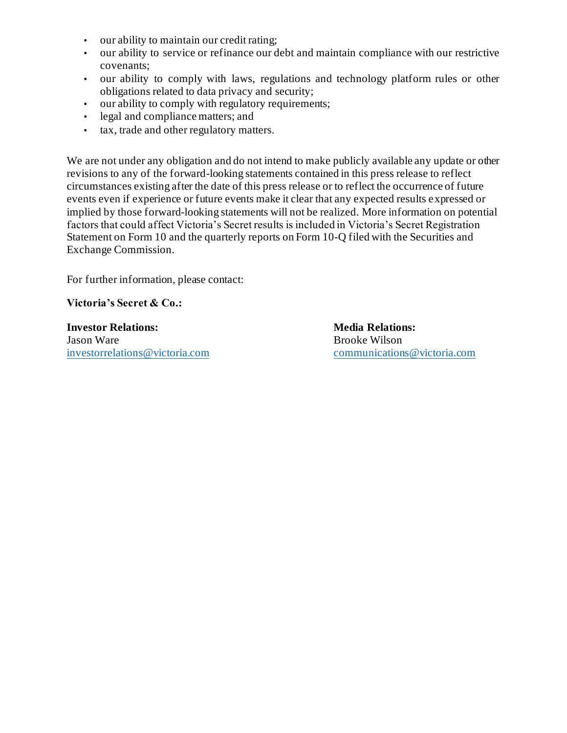- our ability to maintain our credit rating;
- our ability to service or refinance our debt and maintain compliance with our restrictive covenants;
- our ability to comply with laws, regulations and technology platform rules or other obligations related to data privacy and security;
- our ability to comply with regulatory requirements;
- legal and compliance matters; and
- tax, trade and other regulatory matters.

We are not under any obligation and do not intend to make publicly available any update or other revisions to any of the forward-looking statements contained in this press release to reflect circumstances existing after the date of this press release or to reflect the occurrence of future events even if experience or future events make it clear that any expected results expressed or implied by those forward-looking statements will not be realized. More information on potential factors that could affect Victoria's Secret results is included in Victoria's Secret Registration Statement on Form 10 and the quarterly reports on Form 10-Q filed with the Securities and Exchange Commission.

For further information, please contact:

**Victoria's Secret & Co.:**

**Investor Relations:** Media Relations: Jason Ware **Brooke** Wilson [investorr](mailto:investor)elations@victoria.com [communications@victoria.com](mailto:communications@victoria.com)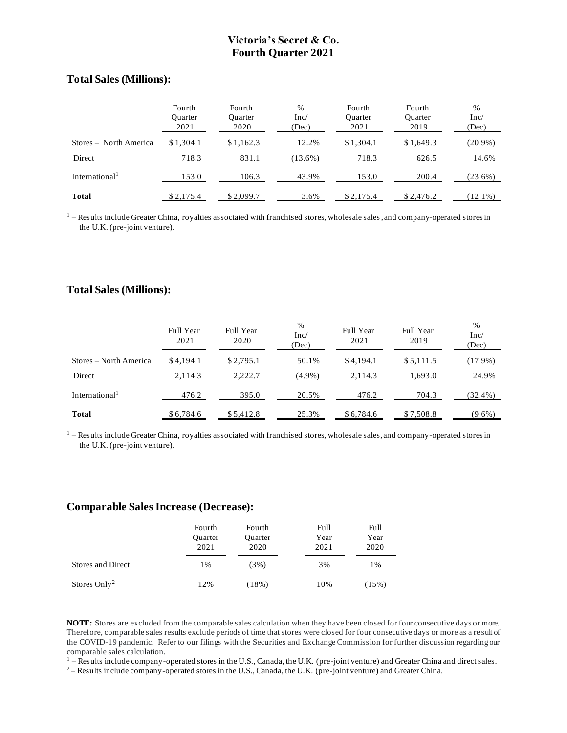## **Victoria's Secret & Co. Fourth Quarter 2021**

### **Total Sales (Millions):**

|                            | Fourth<br><b>Ouarter</b><br>2021 | Fourth<br><b>Ouarter</b><br>2020 | $\%$<br>Inc/<br>(Dec) | Fourth<br><b>Ouarter</b><br>2021 | Fourth<br><b>Ouarter</b><br>2019 | %<br>Inc/<br>(Dec) |
|----------------------------|----------------------------------|----------------------------------|-----------------------|----------------------------------|----------------------------------|--------------------|
| Stores – North America     | \$1.304.1                        | \$1,162.3                        | 12.2%                 | \$1,304.1                        | \$1,649.3                        | $(20.9\%)$         |
| Direct                     | 718.3                            | 831.1                            | $(13.6\%)$            | 718.3                            | 626.5                            | 14.6%              |
| International <sup>1</sup> | 153.0                            | 106.3                            | 43.9%                 | 153.0                            | 200.4                            | $(23.6\%)$         |
| <b>Total</b>               | \$2,175.4                        | \$2,099.7                        | 3.6%                  | \$2,175.4                        | \$2,476.2                        | $(12.1\%)$         |

 $<sup>1</sup>$  – Results include Greater China, royalties associated with franchised stores, wholesale sales, and company-operated stores in</sup> the U.K. (pre-joint venture).

### **Total Sales (Millions):**

|                        | Full Year<br>2021 | %<br><b>Full Year</b><br>Inc/<br>2020<br>(Dec) |           | Full Year<br>2021 | Full Year<br>2019 | %<br>Inc/<br>(Dec) |
|------------------------|-------------------|------------------------------------------------|-----------|-------------------|-------------------|--------------------|
| Stores – North America | \$4.194.1         | \$2,795.1                                      | 50.1%     | \$4.194.1         | \$5,111.5         | $(17.9\%)$         |
| Direct                 | 2,114.3           | 2,222.7                                        | $(4.9\%)$ | 2.114.3           | 1.693.0           | 24.9%              |
| International          | 476.2             | 395.0                                          | 20.5%     | 476.2             | 704.3             | $(32.4\%)$         |
| <b>Total</b>           | \$6,784.6         | \$5.412.8                                      | 25.3%     | \$6.784.6         | \$7.508.8         | $(9.6\%)$          |

 $<sup>1</sup>$  – Results include Greater China, royalties associated with franchised stores, wholesale sales, and company-operated stores in</sup> the U.K. (pre-joint venture).

### **Comparable Sales Increase (Decrease):**

|                                | Fourth<br><b>Ouarter</b><br>2021 | Fourth<br><b>Ouarter</b><br>2020 | Full<br>Year<br>2021 | Full<br>Year<br>2020 |
|--------------------------------|----------------------------------|----------------------------------|----------------------|----------------------|
| Stores and Direct <sup>1</sup> | 1%                               | (3%)                             | 3%                   | 1%                   |
| Stores Only <sup>2</sup>       | 12%                              | (18%)                            | 10%                  | (15%)                |

**NOTE:** Stores are excluded from the comparable sales calculation when they have been closed for four consecutive days or more. Therefore, comparable sales results exclude periods of time that stores were closed for four consecutive days or more as a re sult of the COVID-19 pandemic. Refer to our filings with the Securities and Exchange Commission for further discussion regarding our comparable sales calculation.

<sup>1</sup> – Results include company-operated stores in the U.S., Canada, the U.K. (pre-joint venture) and Greater China and direct sales.

<sup>2</sup> – Results include company-operated stores in the U.S., Canada, the U.K. (pre-joint venture) and Greater China.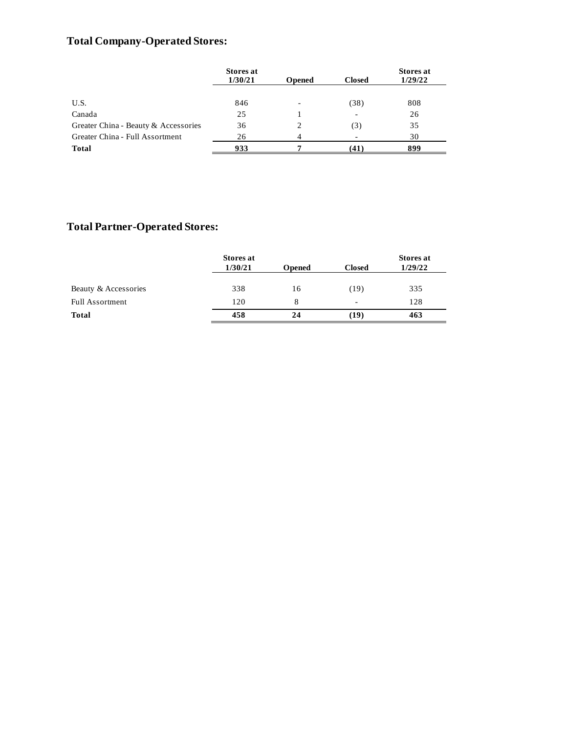# **Total Company-Operated Stores:**

|                                      | <b>Stores at</b><br>1/30/21 | <b>Opened</b> | <b>Closed</b>            | <b>Stores at</b><br>1/29/22 |
|--------------------------------------|-----------------------------|---------------|--------------------------|-----------------------------|
| U.S.                                 | 846                         |               | (38)                     | 808                         |
| Canada                               | 25                          |               | $\overline{\phantom{0}}$ | 26                          |
| Greater China - Beauty & Accessories | 36                          |               | (3)                      | 35                          |
| Greater China - Full Assortment      | 26                          | 4             |                          | 30                          |
| <b>Total</b>                         | 933                         |               | (41                      | 899                         |

# **Total Partner-Operated Stores:**

|                        | <b>Stores at</b><br>1/30/21 | <b>Opened</b> | <b>Closed</b>            | <b>Stores at</b><br>1/29/22 |  |  |  |
|------------------------|-----------------------------|---------------|--------------------------|-----------------------------|--|--|--|
| Beauty & Accessories   | 338                         | 16            | (19)                     | 335                         |  |  |  |
| <b>Full Assortment</b> | 120                         | 8             | $\overline{\phantom{0}}$ | 128                         |  |  |  |
| <b>Total</b>           | 458                         | 24            | (19)                     | 463                         |  |  |  |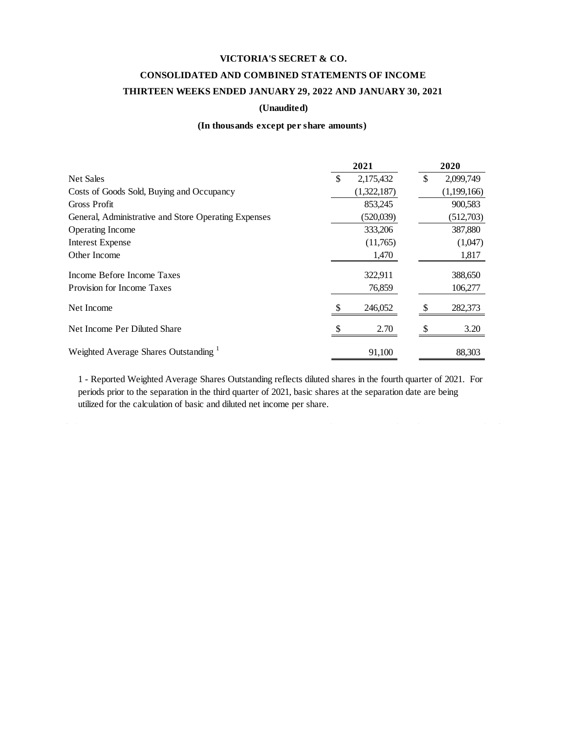### **VICTORIA'S SECRET & CO.**

### **CONSOLIDATED AND COMBINED STATEMENTS OF INCOME**

### **THIRTEEN WEEKS ENDED JANUARY 29, 2022 AND JANUARY 30, 2021**

### **(Unaudited)**

### **(In thousands except per share amounts)**

|                                                      |    | 2021        |               | 2020        |  |  |
|------------------------------------------------------|----|-------------|---------------|-------------|--|--|
| <b>Net Sales</b>                                     | \$ | 2,175,432   | <sup>\$</sup> | 2,099,749   |  |  |
| Costs of Goods Sold, Buying and Occupancy            |    | (1,322,187) |               | (1,199,166) |  |  |
| Gross Profit                                         |    | 853,245     |               | 900,583     |  |  |
| General, Administrative and Store Operating Expenses |    | (520,039)   |               | (512,703)   |  |  |
| Operating Income                                     |    | 333,206     |               | 387,880     |  |  |
| <b>Interest Expense</b>                              |    | (11,765)    |               | (1,047)     |  |  |
| Other Income                                         |    | 1,470       |               | 1,817       |  |  |
| Income Before Income Taxes                           |    | 322,911     |               | 388,650     |  |  |
| Provision for Income Taxes                           |    | 76,859      |               | 106,277     |  |  |
| Net Income                                           | S  | 246,052     |               | 282,373     |  |  |
| Net Income Per Diluted Share                         |    | 2.70        |               | 3.20        |  |  |
| Weighted Average Shares Outstanding                  |    | 91,100      |               | 88,303      |  |  |

1 - Reported Weighted Average Shares Outstanding reflects diluted shares in the fourth quarter of 2021. For periods prior to the separation in the third quarter of 2021, basic shares at the separation date are being utilized for the calculation of basic and diluted net income per share.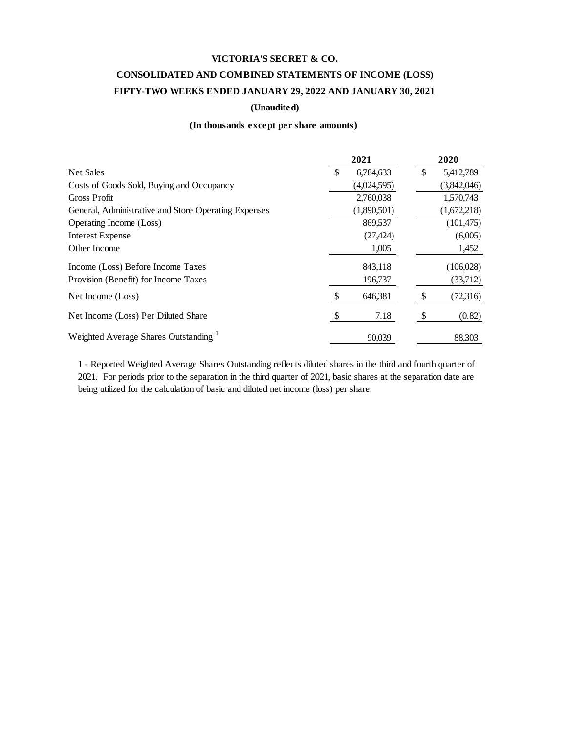### **VICTORIA'S SECRET & CO.**

### **CONSOLIDATED AND COMBINED STATEMENTS OF INCOME (LOSS)**

### **FIFTY-TWO WEEKS ENDED JANUARY 29, 2022 AND JANUARY 30, 2021**

### **(Unaudited)**

### **(In thousands except per share amounts)**

|                                                      | 2021            | 2020 |             |  |  |
|------------------------------------------------------|-----------------|------|-------------|--|--|
| Net Sales                                            | \$<br>6,784,633 | \$   | 5,412,789   |  |  |
| Costs of Goods Sold, Buying and Occupancy            | (4,024,595)     |      | (3,842,046) |  |  |
| Gross Profit                                         | 2,760,038       |      | 1,570,743   |  |  |
| General, Administrative and Store Operating Expenses | (1,890,501)     |      | (1,672,218) |  |  |
| Operating Income (Loss)                              | 869,537         |      | (101, 475)  |  |  |
| <b>Interest Expense</b>                              | (27, 424)       |      | (6,005)     |  |  |
| Other Income                                         | 1,005           |      | 1,452       |  |  |
| Income (Loss) Before Income Taxes                    | 843,118         |      | (106,028)   |  |  |
| Provision (Benefit) for Income Taxes                 | 196,737         |      | (33,712)    |  |  |
| Net Income (Loss)                                    | 646,381         |      | (72,316)    |  |  |
| Net Income (Loss) Per Diluted Share                  | 7.18            |      | (0.82)      |  |  |
| Weighted Average Shares Outstanding <sup>1</sup>     | 90.039          |      | 88,303      |  |  |

1 - Reported Weighted Average Shares Outstanding reflects diluted shares in the third and fourth quarter of 2021. For periods prior to the separation in the third quarter of 2021, basic shares at the separation date are being utilized for the calculation of basic and diluted net income (loss) per share.